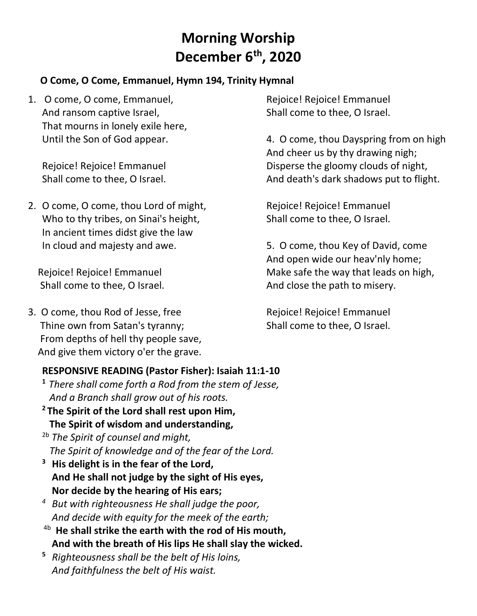# **Morning Worship December 6 th, 2020**

#### **O Come, O Come, Emmanuel, Hymn 194, Trinity Hymnal**

1. O come, O come, Emmanuel, And ransom captive Israel, That mourns in lonely exile here, Until the Son of God appear.

Rejoice! Rejoice! Emmanuel Shall come to thee, O Israel.

2. O come, O come, thou Lord of might, Who to thy tribes, on Sinai's height, In ancient times didst give the law In cloud and majesty and awe.

 Rejoice! Rejoice! Emmanuel Shall come to thee, O Israel.

3. O come, thou Rod of Jesse, free Thine own from Satan's tyranny; From depths of hell thy people save, And give them victory o'er the grave.

## **RESPONSIVE READING (Pastor Fisher): Isaiah 11:1-10**

- **<sup>1</sup>***There shall come forth a Rod from the stem of Jesse, And a Branch shall grow out of his roots.*
- **<sup>2</sup> The Spirit of the Lord shall rest upon Him, The Spirit of wisdom and understanding,**
- 2b *The Spirit of counsel and might, The Spirit of knowledge and of the fear of the Lord.*
- **<sup>3</sup>His delight is in the fear of the Lord, And He shall not judge by the sight of His eyes, Nor decide by the hearing of His ears;**
- *<sup>4</sup>But with righteousness He shall judge the poor, And decide with equity for the meek of the earth;*
- 4b  **He shall strike the earth with the rod of His mouth, And with the breath of His lips He shall slay the wicked.**
- **<sup>5</sup>***Righteousness shall be the belt of His loins, And faithfulness the belt of His waist.*

Rejoice! Rejoice! Emmanuel Shall come to thee, O Israel.

4. O come, thou Dayspring from on high And cheer us by thy drawing nigh; Disperse the gloomy clouds of night, And death's dark shadows put to flight.

Rejoice! Rejoice! Emmanuel Shall come to thee, O Israel.

5. O come, thou Key of David, come And open wide our heav'nly home; Make safe the way that leads on high, And close the path to misery.

Rejoice! Rejoice! Emmanuel Shall come to thee, O Israel.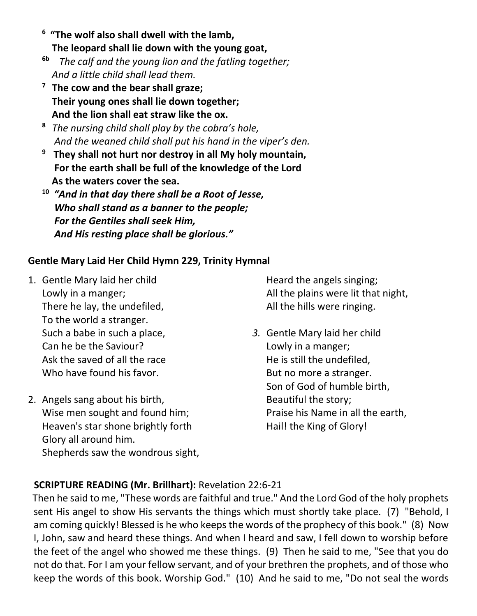- **<sup>6</sup>"The wolf also shall dwell with the lamb, The leopard shall lie down with the young goat,**
- **6b** *The calf and the young lion and the fatling together; And a little child shall lead them.*
- **<sup>7</sup>The cow and the bear shall graze; Their young ones shall lie down together; And the lion shall eat straw like the ox.**
- **<sup>8</sup>***The nursing child shall play by the cobra's hole, And the weaned child shall put his hand in the viper's den.*
- **<sup>9</sup>They shall not hurt nor destroy in all My holy mountain, For the earth shall be full of the knowledge of the Lord As the waters cover the sea.**
- **<sup>10</sup>***"And in that day there shall be a Root of Jesse, Who shall stand as a banner to the people; For the Gentiles shall seek Him, And His resting place shall be glorious."*

## **Gentle Mary Laid Her Child Hymn 229, Trinity Hymnal**

- 1. Gentle Mary laid her child Lowly in a manger; There he lay, the undefiled, To the world a stranger. Such a babe in such a place, Can he be the Saviour? Ask the saved of all the race Who have found his favor.
- 2. Angels sang about his birth, Wise men sought and found him; Heaven's star shone brightly forth Glory all around him. Shepherds saw the wondrous sight,

Heard the angels singing; All the plains were lit that night, All the hills were ringing.

*3.* Gentle Mary laid her child Lowly in a manger; He is still the undefiled, But no more a stranger. Son of God of humble birth, Beautiful the story; Praise his Name in all the earth, Hail! the King of Glory!

## **SCRIPTURE READING (Mr. Brillhart):** Revelation 22:6-21

Then he said to me, "These words are faithful and true." And the Lord God of the holy prophets sent His angel to show His servants the things which must shortly take place. (7) "Behold, I am coming quickly! Blessed is he who keeps the words of the prophecy of this book." (8) Now I, John, saw and heard these things. And when I heard and saw, I fell down to worship before the feet of the angel who showed me these things. (9) Then he said to me, "See that you do not do that. For I am your fellow servant, and of your brethren the prophets, and of those who keep the words of this book. Worship God." (10) And he said to me, "Do not seal the words